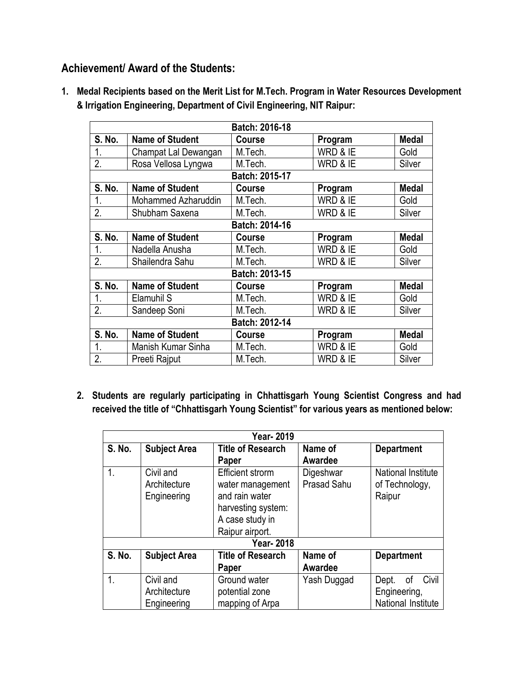## **Achievement/ Award of the Students:**

**1. Medal Recipients based on the Merit List for M.Tech. Program in Water Resources Development & Irrigation Engineering, Department of Civil Engineering, NIT Raipur:**

| Batch: 2016-18   |                        |               |          |              |  |  |  |
|------------------|------------------------|---------------|----------|--------------|--|--|--|
| S. No.           | <b>Name of Student</b> | <b>Course</b> | Program  | <b>Medal</b> |  |  |  |
| 1.               | Champat Lal Dewangan   | M.Tech.       | WRD & IE | Gold         |  |  |  |
| 2.               | Rosa Vellosa Lyngwa    | M.Tech.       | WRD & IE | Silver       |  |  |  |
| Batch: 2015-17   |                        |               |          |              |  |  |  |
| S. No.           | <b>Name of Student</b> | Course        | Program  | <b>Medal</b> |  |  |  |
| 1.               | Mohammed Azharuddin    | M.Tech.       | WRD & IE | Gold         |  |  |  |
| 2.               | Shubham Saxena         | M.Tech.       | WRD & IE | Silver       |  |  |  |
| Batch: 2014-16   |                        |               |          |              |  |  |  |
| S. No.           | <b>Name of Student</b> | <b>Course</b> | Program  | <b>Medal</b> |  |  |  |
| 1.               | Nadella Anusha         | M.Tech.       | WRD & IE | Gold         |  |  |  |
| $\overline{2}$ . | Shailendra Sahu        | M.Tech.       | WRD & IE | Silver       |  |  |  |
| Batch: 2013-15   |                        |               |          |              |  |  |  |
| S. No.           | <b>Name of Student</b> | Course        | Program  | <b>Medal</b> |  |  |  |
| 1.               | Elamuhil S             | M.Tech.       | WRD & IE | Gold         |  |  |  |
| 2.               | Sandeep Soni           | M.Tech.       | WRD & IE | Silver       |  |  |  |
| Batch: 2012-14   |                        |               |          |              |  |  |  |
| S. No.           | <b>Name of Student</b> | Course        | Program  | <b>Medal</b> |  |  |  |
| 1.               | Manish Kumar Sinha     | M.Tech.       | WRD & IE | Gold         |  |  |  |
| 2.               | Preeti Rajput          | M.Tech.       | WRD & IE | Silver       |  |  |  |

**2. Students are regularly participating in Chhattisgarh Young Scientist Congress and had received the title of "Chhattisgarh Young Scientist" for various years as mentioned below:**

| <b>Year-2019</b> |                                                 |                          |                    |                           |  |  |  |  |
|------------------|-------------------------------------------------|--------------------------|--------------------|---------------------------|--|--|--|--|
| <b>S. No.</b>    | <b>Subject Area</b>                             | <b>Title of Research</b> | Name of            | <b>Department</b>         |  |  |  |  |
|                  |                                                 | Paper                    | Awardee            |                           |  |  |  |  |
| 1.               | Civil and                                       | <b>Efficient strorm</b>  | Digeshwar          | <b>National Institute</b> |  |  |  |  |
|                  | Architecture                                    | water management         | <b>Prasad Sahu</b> | of Technology,            |  |  |  |  |
|                  | Engineering                                     | and rain water           |                    | Raipur                    |  |  |  |  |
|                  |                                                 | harvesting system:       |                    |                           |  |  |  |  |
|                  |                                                 | A case study in          |                    |                           |  |  |  |  |
|                  |                                                 | Raipur airport.          |                    |                           |  |  |  |  |
| <b>Year-2018</b> |                                                 |                          |                    |                           |  |  |  |  |
| <b>S. No.</b>    | <b>Subject Area</b><br><b>Title of Research</b> |                          | Name of            | <b>Department</b>         |  |  |  |  |
|                  |                                                 | Paper                    | Awardee            |                           |  |  |  |  |
| 1 <sub>1</sub>   | Civil and                                       | Ground water             | Yash Duggad        | Civil<br>οf<br>Dept.      |  |  |  |  |
|                  | Architecture                                    | potential zone           |                    | Engineering,              |  |  |  |  |
|                  | Engineering                                     | mapping of Arpa          |                    | National Institute        |  |  |  |  |